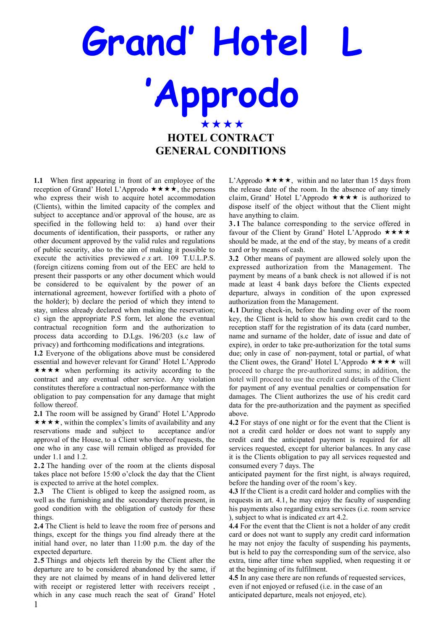## **Grand' Hotel 'Approdo** \*\*\*\* **HOTEL CONTRACT GENERAL CONDITIONS**

**1.1** When first appearing in front of an employee of the reception of Grand' Hotel L'Approdo  $\star \star \star \star$ , the persons who express their wish to acquire hotel accommodation (Clients), within the limited capacity of the complex and subject to acceptance and/or approval of the house, are as specified in the following held to: a) hand over their documents of identification, their passports, or rather any other document approved by the valid rules and regulations of public security, also to the aim of making it possible to execute the activities previewed *e x* art. 109 T.U.L.P.S. (foreign citizens coming from out of the EEC are held to present their passports or any other document which would be considered to be equivalent by the power of an international agreement, however fortified with a photo of the holder); b) declare the period of which they intend to stay, unless already declared when making the reservation; c) sign the appropriate P.S form, let alone the eventual contractual recognition form and the authorization to process data according to D.Lgs. 196/203 (s.c law of privacy) and forthcoming modifications and integrations.

**1.2** Everyone of the obligations above must be considered essential and however relevant for Grand' Hotel L'Approdo  $\star \star \star \star$  when performing its activity according to the contract and any eventual other service. Any violation constitutes therefore a contractual non-performance with the obligation to pay compensation for any damage that might follow thereof.

**2.1** The room will be assigned by Grand' Hotel L'Approdo  $\star \star \star \star$ , within the complex's limits of availability and any reservations made and subject to acceptance and/or approval of the House, to a Client who thereof requests, the one who in any case will remain obliged as provided for under 1.1 and 1.2.

**2.2** The handing over of the room at the clients disposal takes place not before 15:00 o'clock the day that the Client is expected to arrive at the hotel complex.

**2.3** The Client is obliged to keep the assigned room, as well as the furnishing and the secondary therein present, in good condition with the obligation of custody for these things.

**2.4** The Client is held to leave the room free of persons and things, except for the things you find already there at the initial hand over, no later than 11:00 p.m. the day of the expected departure.

**2.5** Things and objects left therein by the Client after the departure are to be considered abandoned by the same, if they are not claimed by means of in hand delivered letter with receipt or registered letter with receivers receipt , which in any case much reach the seat of Grand' Hotel

L'Approdo  $\star \star \star \star$ , within and no later than 15 days from the release date of the room. In the absence of any timely claim, Grand' Hotel L'Approdo  $\star \star \star \star$  is authorized to dispose itself of the object without that the Client might have anything to claim.

**3 . 1** The balance corresponding to the service offered in favour of the Client by Grand' Hotel L'Approdo  $\star \star \star \star$ should be made, at the end of the stay, by means of a credit card or by means of cash.

**3.2** Other means of payment are allowed solely upon the expressed authorization from the Management. The payment by means of a bank check is not allowed if is not made at least 4 bank days before the Clients expected departure, always in condition of the upon expressed authorization from the Management.

**4.1** During check-in, before the handing over of the room key, the Client is held to show his own credit card to the reception staff for the registration of its data (card number, name and surname of the holder, date of issue and date of expire), in order to take pre-authorization for the total sums due; only in case of non-payment, total or partial, of what the Client owes, the Grand' Hotel L'Approdo  $\star \star \star \star$  will proceed to charge the pre-authorized sums; in addition, the hotel will proceed to use the credit card details of the Client for payment of any eventual penalties or compensation for damages. The Client authorizes the use of his credit card data for the pre-authorization and the payment as specified above.

**4.2** For stays of one night or for the event that the Client is not a credit card holder or does not want to supply any credit card the anticipated payment is required for all services requested, except for ulterior balances. In any case it is the Clients obligation to pay all services requested and consumed every 7 days. The

anticipated payment for the first night, is always required, before the handing over of the room's key.

**4.3** If the Client is a credit card holder and complies with the requests in art. 4.1, he may enjoy the faculty of suspending his payments also regarding extra services (i.e. room service ), subject to what is indicated *ex* art 4.2.

**4.4** For the event that the Client is not a holder of any credit card or does not want to supply any credit card information he may not enjoy the faculty of suspending his payments, but is held to pay the corresponding sum of the service, also extra, time after time when supplied, when requesting it or at the beginning of its fulfilment.

**4.5** In any case there are non refunds of requested services, even if not enjoyed or refused (i.e. in the case of an anticipated departure, meals not enjoyed, etc).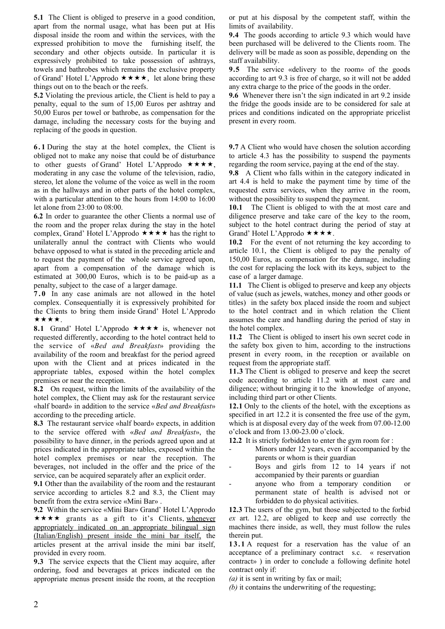**5.1** The Client is obliged to preserve in a good condition, apart from the normal usage, what has been put at His disposal inside the room and within the services, with the expressed prohibition to move the furnishing itself, the secondary and other objects outside. In particular it is expressively prohibited to take possession of ashtrays, towels and bathrobes which remains the exclusive property of Grand' Hotel L'Approdo  $\star \star \star \star$ , let alone bring these things out on to the beach or the reefs.

**5.2** Violating the previous article, the Client is held to pay a penalty, equal to the sum of 15,00 Euros per ashtray and 50,00 Euros per towel or bathrobe, as compensation for the damage, including the necessary costs for the buying and replacing of the goods in question.

**6 . 1** During the stay at the hotel complex, the Client is obliged not to make any noise that could be of disturbance to other guests of Grand' Hotel L'Approdo  $\star \star \star \star$ , moderating in any case the volume of the television, radio, stereo, let alone the volume of the voice as well in the room as in the hallways and in other parts of the hotel complex, with a particular attention to the hours from 14:00 to 16:00 let alone from 23:00 to 08:00.

**6.2** In order to guarantee the other Clients a normal use of the room and the proper relax during the stay in the hotel complex, Grand' Hotel L'Approdo  $\star \star \star \star$  has the right to unilaterally annul the contract with Clients who would behave opposed to what is stated in the preceding article and to request the payment of the whole service agreed upon, apart from a compensation of the damage which is estimated at 300,00 Euros, which is to be paid-up as a penalty, subject to the case of a larger damage.

**7 . 0** In any case animals are not allowed in the hotel complex. Consequentially it is expressively prohibited for the Clients to bring them inside Grand' Hotel L'Approdo \*\*\*\*.

**8.1** Grand' Hotel L'Approdo  $\star \star \star \star$  is, whenever not requested differently, according to the hotel contract held to the service of «*Bed and Breakfast*» providing the availability of the room and breakfast for the period agreed upon with the Client and at prices indicated in the appropriate tables, exposed within the hotel complex premises or near the reception.

**8.2** On request, within the limits of the availability of the hotel complex, the Client may ask for the restaurant service «half board» in addition to the service «*Bed and Breakfast*» according to the preceding article.

**8.3** The restaurant service «half board» expects, in addition to the service offered with «*Bed and Breakfast*», the possibility to have dinner, in the periods agreed upon and at prices indicated in the appropriate tables, exposed within the hotel complex premises or near the reception. The beverages, not included in the offer and the price of the service, can be acquired separately after an explicit order.

**9.1** Other than the availability of the room and the restaurant service according to articles 8.2 and 8.3, the Client may benefit from the extra service «Mini Bar» .

**9.2** Within the service «Mini Bar» Grand' Hotel L'Approdo \*\*\*\* grants as a gift to it's Clients, whenever appropriately indicated on an appropriate bilingual sign (Italian/English) present inside the mini bar itself, the articles present at the arrival inside the mini bar itself, provided in every room.

**9.3** The service expects that the Client may acquire, after ordering, food and beverages at prices indicated on the appropriate menus present inside the room, at the reception

or put at his disposal by the competent staff, within the limits of availability.

**9.4** The goods according to article 9.3 which would have been purchased will be delivered to the Clients room. The delivery will be made as soon as possible, depending on the staff availability.

**9.5** The service «delivery to the room» of the goods according to art 9.3 is free of charge, so it will not be added any extra charge to the price of the goods in the order.

**9.6** Whenever there isn't the sign indicated in art 9.2 inside the fridge the goods inside are to be considered for sale at prices and conditions indicated on the appropriate pricelist present in every room.

**9.7** A Client who would have chosen the solution according to article 4.3 has the possibility to suspend the payments regarding the room service, paying at the end of the stay.

**9.8** A Client who falls within in the category indicated in art 4.4 is held to make the payment time by time of the requested extra services, when they arrive in the room, without the possibility to suspend the payment.

**10.1** The Client is obliged to with the at most care and diligence preserve and take care of the key to the room, subject to the hotel contract during the period of stay at Grand' Hotel L'Approdo  $\star \star \star \star$ .

**10.2** For the event of not returning the key according to article 10.1, the Client is obliged to pay the penalty of 150,00 Euros, as compensation for the damage, including the cost for replacing the lock with its keys, subject to the case of a larger damage.

**11.1** The Client is obliged to preserve and keep any objects of value (such as jewels, watches, money and other goods or titles) in the safety box placed inside the room and subject to the hotel contract and in which relation the Client assumes the care and handling during the period of stay in the hotel complex.

**11.2** The Client is obliged to insert his own secret code in the safety box given to him, according to the instructions present in every room, in the reception or available on request from the appropriate staff.

**11.3** The Client is obliged to preserve and keep the secret code according to article 11.2 with at most care and diligence; without bringing it to the knowledge of anyone, including third part or other Clients.

**12.1** Only to the clients of the hotel, with the exceptions as specified in art 12.2 it is consented the free use of the gym, which is at disposal every day of the week from 07.00-12.00 o'clock and from 13.00-23.00 o'clock.

**12.2** It is strictly forbidden to enter the gym room for :

- Minors under 12 years, even if accompanied by the parents or whom is their guardian
- Boys and girls from 12 to 14 years if not accompanied by their parents or guardian
- anyone who from a temporary condition or permanent state of health is advised not or forbidden to do physical activities.

**12.3** The users of the gym, but those subjected to the forbid *ex* art. 12.2, are obliged to keep and use correctly the machines there inside, as well, they must follow the rules therein put.

**1 3 . 1** A request for a reservation has the value of an acceptance of a preliminary contract s.c. « reservation contract» ) in order to conclude a following definite hotel contract only if:

*(a)* it is sent in writing by fax or mail;

*(b)* it contains the underwriting of the requesting;